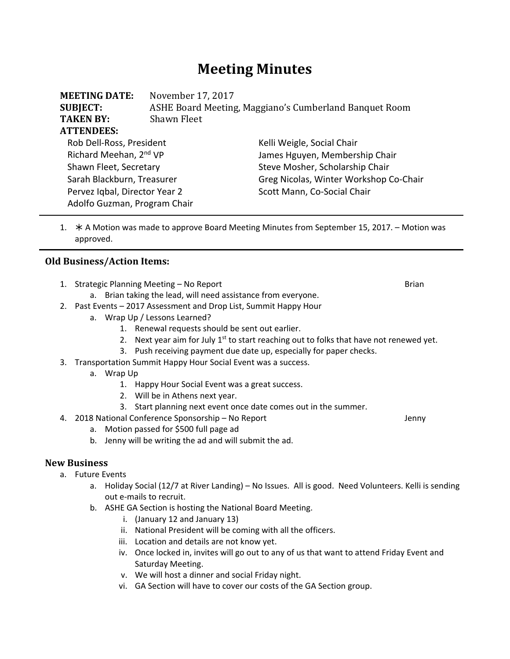# **Meeting Minutes**

| <b>MEETING DATE:</b><br><b>SUBJECT:</b><br><b>TAKEN BY:</b> | November 17, 2017<br>ASHE Board Meeting, Maggiano's Cumberland Banquet Room<br>Shawn Fleet |                                        |  |
|-------------------------------------------------------------|--------------------------------------------------------------------------------------------|----------------------------------------|--|
| <b>ATTENDEES:</b>                                           |                                                                                            |                                        |  |
|                                                             |                                                                                            |                                        |  |
| Rob Dell-Ross, President                                    |                                                                                            | Kelli Weigle, Social Chair             |  |
| Richard Meehan, 2 <sup>nd</sup> VP                          |                                                                                            | James Hguyen, Membership Chair         |  |
| Shawn Fleet, Secretary                                      |                                                                                            | Steve Mosher, Scholarship Chair        |  |
| Sarah Blackburn, Treasurer                                  |                                                                                            | Greg Nicolas, Winter Workshop Co-Chair |  |
| Pervez Iqbal, Director Year 2                               |                                                                                            | Scott Mann, Co-Social Chair            |  |
| Adolfo Guzman, Program Chair                                |                                                                                            |                                        |  |

1.  $\star$  A Motion was made to approve Board Meeting Minutes from September 15, 2017. – Motion was approved.

#### **Old Business/Action Items:**

- 1. Strategic Planning Meeting No Report **by a strategic Planning Meeting No Report** and Brian
	- a. Brian taking the lead, will need assistance from everyone.
- 2. Past Events 2017 Assessment and Drop List, Summit Happy Hour
	- a. Wrap Up / Lessons Learned?
		- 1. Renewal requests should be sent out earlier.
		- 2. Next year aim for July  $1<sup>st</sup>$  to start reaching out to folks that have not renewed yet.
		- 3. Push receiving payment due date up, especially for paper checks.
- 3. Transportation Summit Happy Hour Social Event was a success.
	- a. Wrap Up
		- 1. Happy Hour Social Event was a great success.
		- 2. Will be in Athens next year.
		- 3. Start planning next event once date comes out in the summer.
- 4. 2018 National Conference Sponsorship No Report Jenny
	- a. Motion passed for \$500 full page ad
	- b. Jenny will be writing the ad and will submit the ad.

## **New Business**

- a. Future Events
	- a. Holiday Social (12/7 at River Landing) No Issues. All is good. Need Volunteers. Kelli is sending out e‐mails to recruit.
	- b. ASHE GA Section is hosting the National Board Meeting.
		- i. (January 12 and January 13)
		- ii. National President will be coming with all the officers.
		- iii. Location and details are not know yet.
		- iv. Once locked in, invites will go out to any of us that want to attend Friday Event and Saturday Meeting.
		- v. We will host a dinner and social Friday night.
		- vi. GA Section will have to cover our costs of the GA Section group.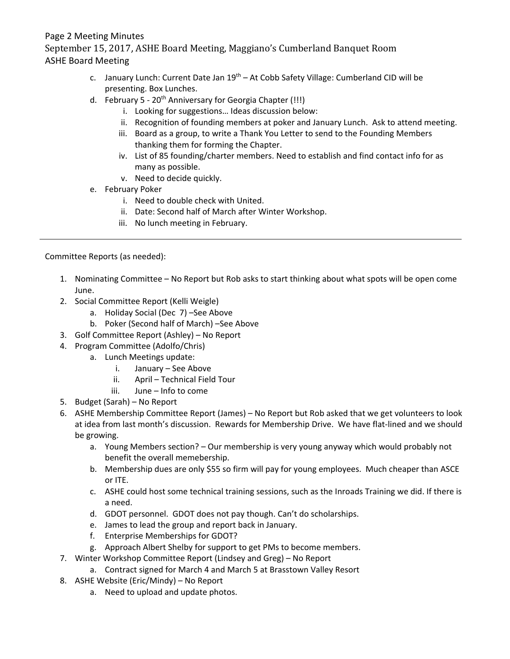## Page 2 Meeting Minutes

September 15, 2017, ASHE Board Meeting, Maggiano's Cumberland Banquet Room ASHE Board Meeting

- c. January Lunch: Current Date Jan 19<sup>th</sup> At Cobb Safety Village: Cumberland CID will be presenting. Box Lunches.
- d. February 5 20<sup>th</sup> Anniversary for Georgia Chapter (!!!)
	- i. Looking for suggestions… Ideas discussion below:
	- ii. Recognition of founding members at poker and January Lunch. Ask to attend meeting.
	- iii. Board as a group, to write a Thank You Letter to send to the Founding Members thanking them for forming the Chapter.
	- iv. List of 85 founding/charter members. Need to establish and find contact info for as many as possible.
	- v. Need to decide quickly.
- e. February Poker
	- i. Need to double check with United.
	- ii. Date: Second half of March after Winter Workshop.
	- iii. No lunch meeting in February.

Committee Reports (as needed):

- 1. Nominating Committee No Report but Rob asks to start thinking about what spots will be open come June.
- 2. Social Committee Report (Kelli Weigle)
	- a. Holiday Social (Dec 7) –See Above
	- b. Poker (Second half of March) –See Above
- 3. Golf Committee Report (Ashley) No Report
- 4. Program Committee (Adolfo/Chris)
	- a. Lunch Meetings update:
		- i. January See Above
		- ii. April Technical Field Tour
		- iii. June Info to come
- 5. Budget (Sarah) No Report
- 6. ASHE Membership Committee Report (James) No Report but Rob asked that we get volunteers to look at idea from last month's discussion. Rewards for Membership Drive. We have flat‐lined and we should be growing.
	- a. Young Members section? Our membership is very young anyway which would probably not benefit the overall memebership.
	- b. Membership dues are only \$55 so firm will pay for young employees. Much cheaper than ASCE or ITE.
	- c. ASHE could host some technical training sessions, such as the Inroads Training we did. If there is a need.
	- d. GDOT personnel. GDOT does not pay though. Can't do scholarships.
	- e. James to lead the group and report back in January.
	- f. Enterprise Memberships for GDOT?
	- g. Approach Albert Shelby for support to get PMs to become members.
- 7. Winter Workshop Committee Report (Lindsey and Greg) No Report
	- a. Contract signed for March 4 and March 5 at Brasstown Valley Resort
- 8. ASHE Website (Eric/Mindy) No Report
	- a. Need to upload and update photos.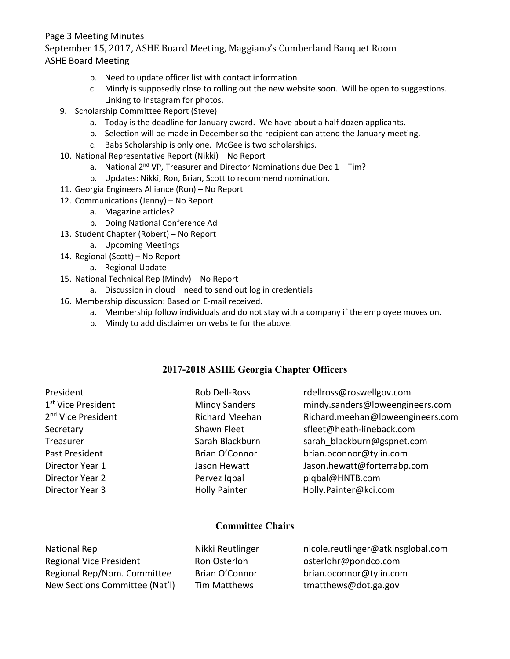## Page 3 Meeting Minutes

September 15, 2017, ASHE Board Meeting, Maggiano's Cumberland Banquet Room ASHE Board Meeting

- b. Need to update officer list with contact information
- c. Mindy is supposedly close to rolling out the new website soon. Will be open to suggestions. Linking to Instagram for photos.
- 9. Scholarship Committee Report (Steve)
	- a. Today is the deadline for January award. We have about a half dozen applicants.
	- b. Selection will be made in December so the recipient can attend the January meeting.
	- c. Babs Scholarship is only one. McGee is two scholarships.
- 10. National Representative Report (Nikki) No Report
	- a. National  $2^{nd}$  VP, Treasurer and Director Nominations due Dec  $1 Tim$ ?
	- b. Updates: Nikki, Ron, Brian, Scott to recommend nomination.
- 11. Georgia Engineers Alliance (Ron) No Report
- 12. Communications (Jenny) No Report
	- a. Magazine articles?
	- b. Doing National Conference Ad
- 13. Student Chapter (Robert) No Report
	- a. Upcoming Meetings
- 14. Regional (Scott) No Report
	- a. Regional Update
- 15. National Technical Rep (Mindy) No Report
	- a. Discussion in cloud need to send out log in credentials
- 16. Membership discussion: Based on E‐mail received.
	- a. Membership follow individuals and do not stay with a company if the employee moves on.
	- b. Mindy to add disclaimer on website for the above.

## **2017-2018 ASHE Georgia Chapter Officers**

| President                      | Rob Dell-Ross         | rdellross@roswellgov.com         |
|--------------------------------|-----------------------|----------------------------------|
| 1 <sup>st</sup> Vice President | <b>Mindy Sanders</b>  | mindy.sanders@loweengineers.com  |
| 2 <sup>nd</sup> Vice President | <b>Richard Meehan</b> | Richard.meehan@loweengineers.com |
| Secretary                      | Shawn Fleet           | sfleet@heath-lineback.com        |
| Treasurer                      | Sarah Blackburn       | sarah blackburn@gspnet.com       |
| Past President                 | Brian O'Connor        | brian.oconnor@tylin.com          |
| Director Year 1                | Jason Hewatt          | Jason.hewatt@forterrabp.com      |
| Director Year 2                | Pervez Iqbal          | piqbal@HNTB.com                  |
| Director Year 3                | <b>Holly Painter</b>  | Holly.Painter@kci.com            |
|                                |                       |                                  |

## **Committee Chairs**

| National Rep                   | Nikki Reutlinger | nicole.reutlinger@atkinsglobal.com |
|--------------------------------|------------------|------------------------------------|
| <b>Regional Vice President</b> | Ron Osterloh     | osterlohr@pondco.com               |
| Regional Rep/Nom. Committee    | Brian O'Connor   | brian.oconnor@tylin.com            |
| New Sections Committee (Nat'l) | Tim Matthews     | tmatthews@dot.ga.gov               |